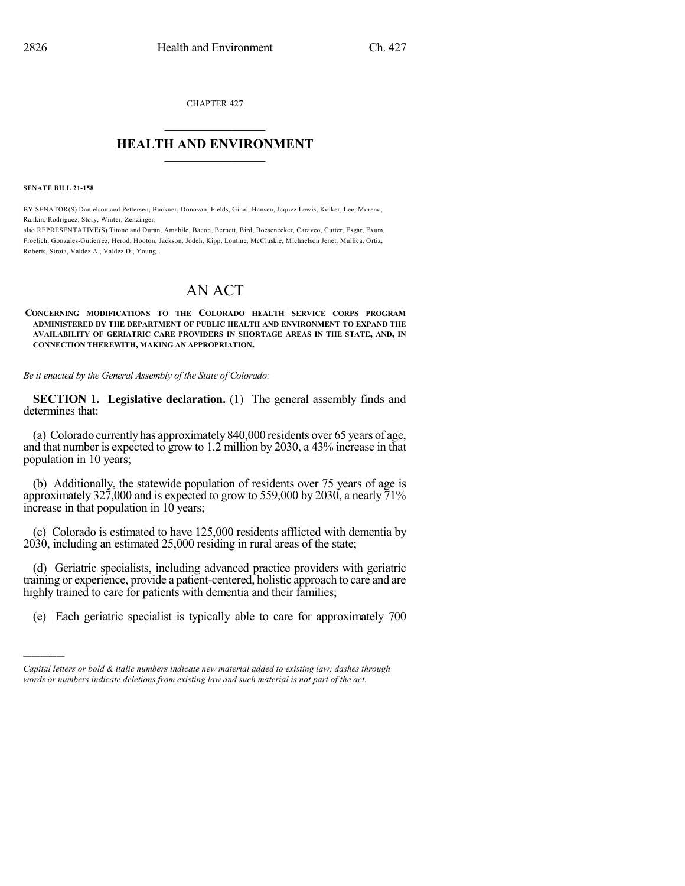CHAPTER 427

## $\overline{\phantom{a}}$  . The set of the set of the set of the set of the set of the set of the set of the set of the set of the set of the set of the set of the set of the set of the set of the set of the set of the set of the set o **HEALTH AND ENVIRONMENT**  $\_$

**SENATE BILL 21-158**

)))))

BY SENATOR(S) Danielson and Pettersen, Buckner, Donovan, Fields, Ginal, Hansen, Jaquez Lewis, Kolker, Lee, Moreno, Rankin, Rodriguez, Story, Winter, Zenzinger;

also REPRESENTATIVE(S) Titone and Duran, Amabile, Bacon, Bernett, Bird, Boesenecker, Caraveo, Cutter, Esgar, Exum, Froelich, Gonzales-Gutierrez, Herod, Hooton, Jackson, Jodeh, Kipp, Lontine, McCluskie, Michaelson Jenet, Mullica, Ortiz, Roberts, Sirota, Valdez A., Valdez D., Young.

## AN ACT

**CONCERNING MODIFICATIONS TO THE COLORADO HEALTH SERVICE CORPS PROGRAM ADMINISTERED BY THE DEPARTMENT OF PUBLIC HEALTH AND ENVIRONMENT TO EXPAND THE AVAILABILITY OF GERIATRIC CARE PROVIDERS IN SHORTAGE AREAS IN THE STATE, AND, IN CONNECTION THEREWITH, MAKING AN APPROPRIATION.**

*Be it enacted by the General Assembly of the State of Colorado:*

**SECTION 1. Legislative declaration.** (1) The general assembly finds and determines that:

(a) Colorado currentlyhas approximately840,000 residents over 65 years of age, and that number is expected to grow to 1.2 million by 2030, a 43% increase in that population in 10 years;

(b) Additionally, the statewide population of residents over 75 years of age is approximately 327,000 and is expected to grow to 559,000 by 2030, a nearly 71% increase in that population in 10 years;

(c) Colorado is estimated to have 125,000 residents afflicted with dementia by 2030, including an estimated 25,000 residing in rural areas of the state;

(d) Geriatric specialists, including advanced practice providers with geriatric training or experience, provide a patient-centered, holistic approach to care and are highly trained to care for patients with dementia and their families;

(e) Each geriatric specialist is typically able to care for approximately 700

*Capital letters or bold & italic numbers indicate new material added to existing law; dashes through words or numbers indicate deletions from existing law and such material is not part of the act.*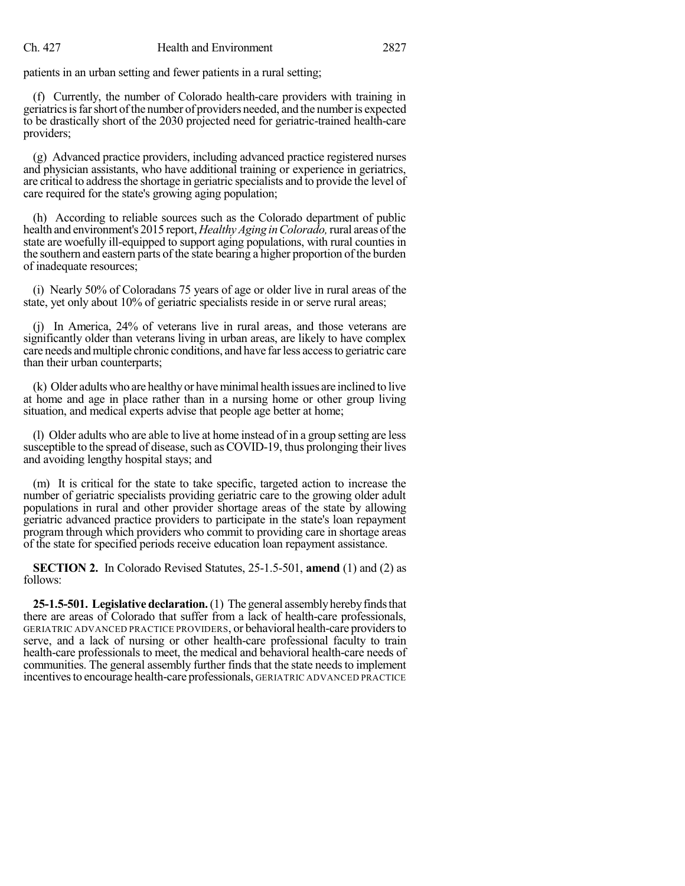patients in an urban setting and fewer patients in a rural setting;

(f) Currently, the number of Colorado health-care providers with training in geriatrics is far short of the number of providers needed, and the number is expected to be drastically short of the 2030 projected need for geriatric-trained health-care providers;

(g) Advanced practice providers, including advanced practice registered nurses and physician assistants, who have additional training or experience in geriatrics, are critical to addressthe shortage in geriatric specialists and to provide the level of care required for the state's growing aging population;

(h) According to reliable sources such as the Colorado department of public health and environment's 2015 report, *Healthy Aging in Colorado*, rural areas of the state are woefully ill-equipped to support aging populations, with rural counties in the southern and eastern parts of the state bearing a higher proportion of the burden of inadequate resources;

(i) Nearly 50% of Coloradans 75 years of age or older live in rural areas of the state, yet only about 10% of geriatric specialists reside in or serve rural areas;

(j) In America, 24% of veterans live in rural areas, and those veterans are significantly older than veterans living in urban areas, are likely to have complex care needs andmultiple chronic conditions, and have farless accessto geriatric care than their urban counterparts;

(k) Older adults who are healthyor haveminimal health issues are inclined to live at home and age in place rather than in a nursing home or other group living situation, and medical experts advise that people age better at home;

(l) Older adults who are able to live at home instead of in a group setting are less susceptible to the spread of disease, such as COVID-19, thus prolonging their lives and avoiding lengthy hospital stays; and

(m) It is critical for the state to take specific, targeted action to increase the number of geriatric specialists providing geriatric care to the growing older adult populations in rural and other provider shortage areas of the state by allowing geriatric advanced practice providers to participate in the state's loan repayment program through which providers who commit to providing care in shortage areas of the state for specified periods receive education loan repayment assistance.

**SECTION 2.** In Colorado Revised Statutes, 25-1.5-501, **amend** (1) and (2) as follows:

**25-1.5-501. Legislative declaration.**(1) The general assemblyherebyfindsthat there are areas of Colorado that suffer from a lack of health-care professionals, GERIATRIC ADVANCED PRACTICE PROVIDERS, or behavioral health-care providersto serve, and a lack of nursing or other health-care professional faculty to train health-care professionals to meet, the medical and behavioral health-care needs of communities. The general assembly further finds that the state needs to implement incentives to encourage health-care professionals, GERIATRIC ADVANCED PRACTICE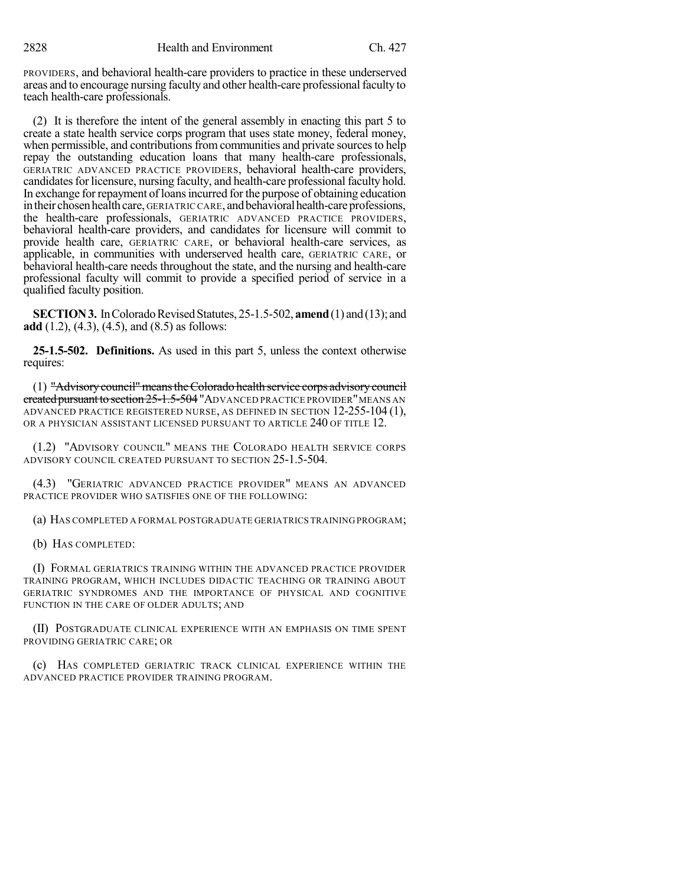PROVIDERS, and behavioral health-care providers to practice in these underserved areas and to encourage nursing faculty and other health-care professionalfaculty to teach health-care professionals.

(2) It is therefore the intent of the general assembly in enacting this part 5 to create a state health service corps program that uses state money, federal money, when permissible, and contributions from communities and private sources to help repay the outstanding education loans that many health-care professionals, GERIATRIC ADVANCED PRACTICE PROVIDERS, behavioral health-care providers, candidates for licensure, nursing faculty, and health-care professional faculty hold. In exchange forrepayment of loansincurred forthe purpose of obtaining education in their chosen health care, GERIATRIC CARE, and behavioral health-care professions, the health-care professionals, GERIATRIC ADVANCED PRACTICE PROVIDERS, behavioral health-care providers, and candidates for licensure will commit to provide health care, GERIATRIC CARE, or behavioral health-care services, as applicable, in communities with underserved health care, GERIATRIC CARE, or behavioral health-care needs throughout the state, and the nursing and health-care professional faculty will commit to provide a specified period of service in a qualified faculty position.

**SECTION 3.** In Colorado Revised Statutes, 25-1.5-502, **amend** (1) and (13); and **add** (1.2), (4.3), (4.5), and (8.5) as follows:

**25-1.5-502. Definitions.** As used in this part 5, unless the context otherwise requires:

(1) "Advisorycouncil"meanstheColorado health service corps advisorycouncil ereated pursuant to section 25-1.5-504 "ADVANCED PRACTICE PROVIDER" MEANS AN ADVANCED PRACTICE REGISTERED NURSE, AS DEFINED IN SECTION 12-255-104 (1), OR A PHYSICIAN ASSISTANT LICENSED PURSUANT TO ARTICLE 240 OF TITLE 12.

(1.2) "ADVISORY COUNCIL" MEANS THE COLORADO HEALTH SERVICE CORPS ADVISORY COUNCIL CREATED PURSUANT TO SECTION 25-1.5-504.

(4.3) "GERIATRIC ADVANCED PRACTICE PROVIDER" MEANS AN ADVANCED PRACTICE PROVIDER WHO SATISFIES ONE OF THE FOLLOWING:

(a) HAS COMPLETED A FORMAL POSTGRADUATE GERIATRICS TRAINING PROGRAM;

(b) HAS COMPLETED:

(I) FORMAL GERIATRICS TRAINING WITHIN THE ADVANCED PRACTICE PROVIDER TRAINING PROGRAM, WHICH INCLUDES DIDACTIC TEACHING OR TRAINING ABOUT GERIATRIC SYNDROMES AND THE IMPORTANCE OF PHYSICAL AND COGNITIVE FUNCTION IN THE CARE OF OLDER ADULTS; AND

(II) POSTGRADUATE CLINICAL EXPERIENCE WITH AN EMPHASIS ON TIME SPENT PROVIDING GERIATRIC CARE; OR

(c) HAS COMPLETED GERIATRIC TRACK CLINICAL EXPERIENCE WITHIN THE ADVANCED PRACTICE PROVIDER TRAINING PROGRAM.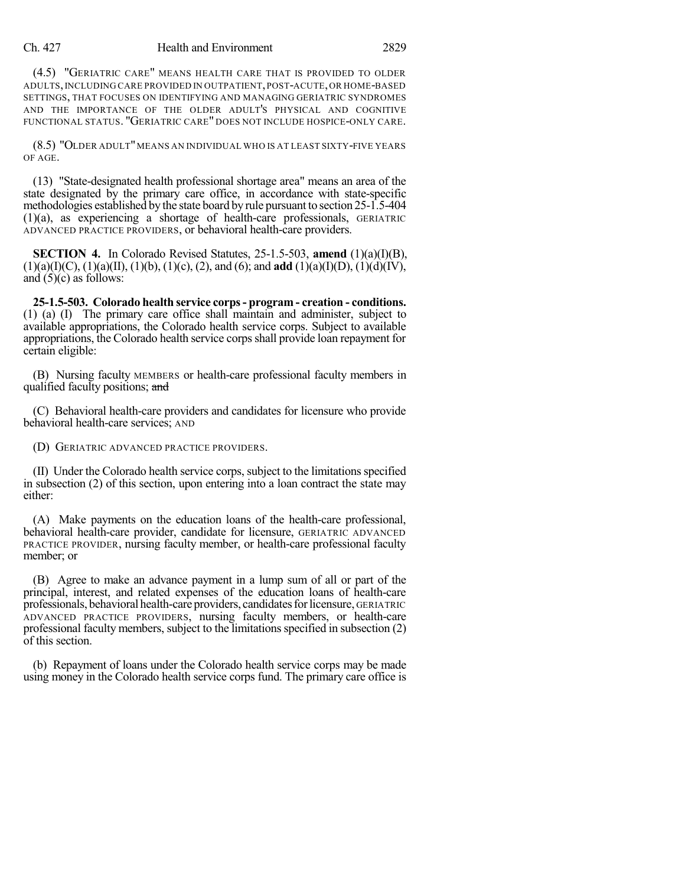## Ch. 427 Health and Environment 2829

(4.5) "GERIATRIC CARE" MEANS HEALTH CARE THAT IS PROVIDED TO OLDER ADULTS,INCLUDING CARE PROVIDED IN OUTPATIENT,POST-ACUTE,OR HOME-BASED SETTINGS, THAT FOCUSES ON IDENTIFYING AND MANAGING GERIATRIC SYNDROMES AND THE IMPORTANCE OF THE OLDER ADULT'S PHYSICAL AND COGNITIVE FUNCTIONAL STATUS. "GERIATRIC CARE" DOES NOT INCLUDE HOSPICE-ONLY CARE.

(8.5) "OLDER ADULT"MEANS AN INDIVIDUAL WHO IS AT LEAST SIXTY-FIVE YEARS OF AGE.

(13) "State-designated health professional shortage area" means an area of the state designated by the primary care office, in accordance with state-specific methodologies established by the state board by rule pursuant to section 25-1.5-404 (1)(a), as experiencing a shortage of health-care professionals, GERIATRIC ADVANCED PRACTICE PROVIDERS, or behavioral health-care providers.

**SECTION 4.** In Colorado Revised Statutes, 25-1.5-503, **amend** (1)(a)(I)(B), (1)(a)(I)(C), (1)(a)(II), (1)(b), (1)(c), (2), and (6); and **add** (1)(a)(I)(D), (1)(d)(IV), and  $(5)(c)$  as follows:

**25-1.5-503. Colorado health service corps- program - creation - conditions.** (1) (a) (I) The primary care office shall maintain and administer, subject to available appropriations, the Colorado health service corps. Subject to available appropriations, the Colorado health service corps shall provide loan repayment for certain eligible:

(B) Nursing faculty MEMBERS or health-care professional faculty members in qualified faculty positions; and

(C) Behavioral health-care providers and candidates for licensure who provide behavioral health-care services; AND

(D) GERIATRIC ADVANCED PRACTICE PROVIDERS.

(II) Under the Colorado health service corps, subject to the limitationsspecified in subsection (2) of this section, upon entering into a loan contract the state may either:

(A) Make payments on the education loans of the health-care professional, behavioral health-care provider, candidate for licensure, GERIATRIC ADVANCED PRACTICE PROVIDER, nursing faculty member, or health-care professional faculty member; or

(B) Agree to make an advance payment in a lump sum of all or part of the principal, interest, and related expenses of the education loans of health-care professionals, behavioral health-careproviders, candidatesforlicensure, GERIATRIC ADVANCED PRACTICE PROVIDERS, nursing faculty members, or health-care professional faculty members, subject to the limitationsspecified in subsection (2) of this section.

(b) Repayment of loans under the Colorado health service corps may be made using money in the Colorado health service corps fund. The primary care office is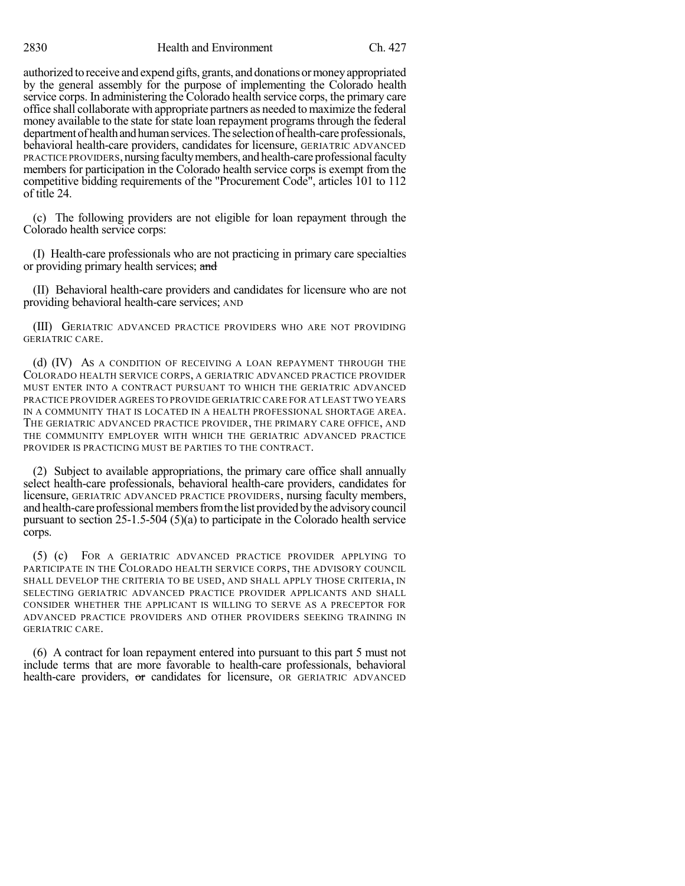authorized to receive and expend gifts, grants, and donationsormoneyappropriated by the general assembly for the purpose of implementing the Colorado health service corps. In administering the Colorado health service corps, the primary care office shall collaborate with appropriate partners as needed to maximize the federal money available to the state for state loan repayment programs through the federal department of health and human services. The selection of health-care professionals, behavioral health-care providers, candidates for licensure, GERIATRIC ADVANCED PRACTICE PROVIDERS, nursing faculty members, and health-care professional faculty members for participation in the Colorado health service corps is exempt from the competitive bidding requirements of the "Procurement Code", articles 101 to 112 of title 24.

(c) The following providers are not eligible for loan repayment through the Colorado health service corps:

(I) Health-care professionals who are not practicing in primary care specialties or providing primary health services; and

(II) Behavioral health-care providers and candidates for licensure who are not providing behavioral health-care services; AND

(III) GERIATRIC ADVANCED PRACTICE PROVIDERS WHO ARE NOT PROVIDING GERIATRIC CARE.

(d) (IV) AS A CONDITION OF RECEIVING A LOAN REPAYMENT THROUGH THE COLORADO HEALTH SERVICE CORPS, A GERIATRIC ADVANCED PRACTICE PROVIDER MUST ENTER INTO A CONTRACT PURSUANT TO WHICH THE GERIATRIC ADVANCED PRACTICE PROVIDER AGREES TO PROVIDE GERIATRIC CARE FOR AT LEAST TWO YEARS IN A COMMUNITY THAT IS LOCATED IN A HEALTH PROFESSIONAL SHORTAGE AREA. THE GERIATRIC ADVANCED PRACTICE PROVIDER, THE PRIMARY CARE OFFICE, AND THE COMMUNITY EMPLOYER WITH WHICH THE GERIATRIC ADVANCED PRACTICE PROVIDER IS PRACTICING MUST BE PARTIES TO THE CONTRACT.

(2) Subject to available appropriations, the primary care office shall annually select health-care professionals, behavioral health-care providers, candidates for licensure, GERIATRIC ADVANCED PRACTICE PROVIDERS, nursing faculty members, and health-care professional members from the list provided by the advisory council pursuant to section 25-1.5-504 (5)(a) to participate in the Colorado health service corps.

(5) (c) FOR A GERIATRIC ADVANCED PRACTICE PROVIDER APPLYING TO PARTICIPATE IN THE COLORADO HEALTH SERVICE CORPS, THE ADVISORY COUNCIL SHALL DEVELOP THE CRITERIA TO BE USED, AND SHALL APPLY THOSE CRITERIA, IN SELECTING GERIATRIC ADVANCED PRACTICE PROVIDER APPLICANTS AND SHALL CONSIDER WHETHER THE APPLICANT IS WILLING TO SERVE AS A PRECEPTOR FOR ADVANCED PRACTICE PROVIDERS AND OTHER PROVIDERS SEEKING TRAINING IN GERIATRIC CARE.

(6) A contract for loan repayment entered into pursuant to this part 5 must not include terms that are more favorable to health-care professionals, behavioral health-care providers, or candidates for licensure, OR GERIATRIC ADVANCED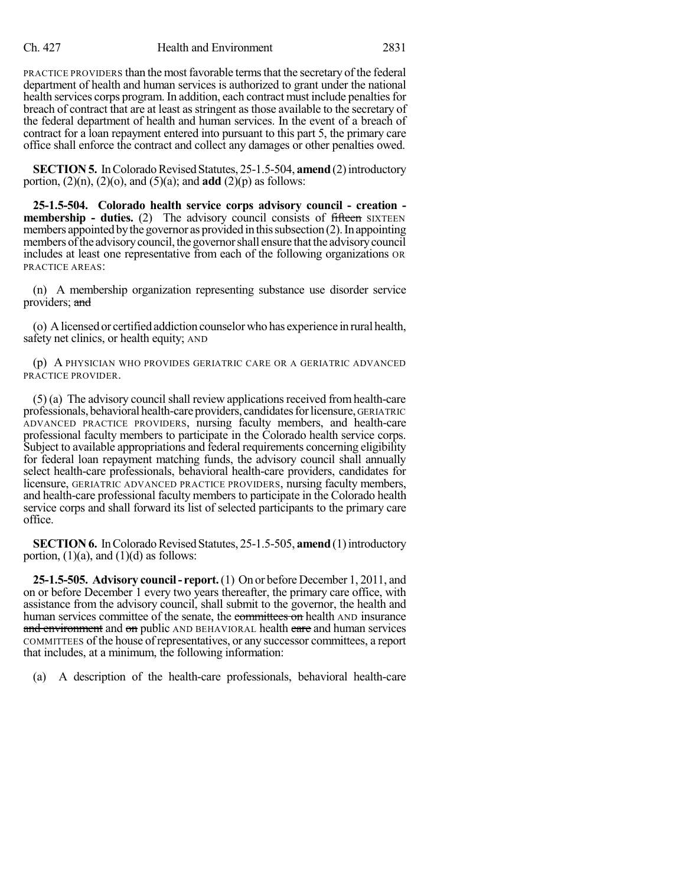PRACTICE PROVIDERS than the most favorable terms that the secretary of the federal department of health and human services is authorized to grant under the national health services corps program. In addition, each contract must include penalties for breach of contract that are at least as stringent as those available to the secretary of the federal department of health and human services. In the event of a breach of contract for a loan repayment entered into pursuant to this part 5, the primary care office shall enforce the contract and collect any damages or other penalties owed.

**SECTION 5.** In Colorado Revised Statutes, 25-1.5-504, **amend** (2) introductory portion,  $(2)(n)$ ,  $(2)(o)$ , and  $(5)(a)$ ; and **add**  $(2)(p)$  as follows:

**25-1.5-504. Colorado health service corps advisory council - creation membership -** duties. (2) The advisory council consists of fifteen SIXTEEN members appointed by the governor as provided in this subsection  $(2)$ . In appointing members of the advisory council, the governor shall ensure that the advisory council includes at least one representative from each of the following organizations OR PRACTICE AREAS:

(n) A membership organization representing substance use disorder service providers; and

(o) Alicensed or certified addiction counselorwho has experience in rural health, safety net clinics, or health equity; AND

(p) A PHYSICIAN WHO PROVIDES GERIATRIC CARE OR A GERIATRIC ADVANCED PRACTICE PROVIDER.

 $(5)$  (a) The advisory council shall review applications received from health-care professionals, behavioral health-care providers, candidates for licensure, GERIATRIC ADVANCED PRACTICE PROVIDERS, nursing faculty members, and health-care professional faculty members to participate in the Colorado health service corps. Subject to available appropriations and federal requirements concerning eligibility for federal loan repayment matching funds, the advisory council shall annually select health-care professionals, behavioral health-care providers, candidates for licensure, GERIATRIC ADVANCED PRACTICE PROVIDERS, nursing faculty members, and health-care professional faculty members to participate in the Colorado health service corps and shall forward its list of selected participants to the primary care office.

**SECTION 6.** In Colorado Revised Statutes, 25-1.5-505, **amend** (1) introductory portion,  $(1)(a)$ , and  $(1)(d)$  as follows:

**25-1.5-505. Advisory council- report.**(1) On or before December 1, 2011, and on or before December 1 every two years thereafter, the primary care office, with assistance from the advisory council, shall submit to the governor, the health and human services committee of the senate, the committees on health AND insurance and environment and on public AND BEHAVIORAL health care and human services COMMITTEES of the house of representatives, or any successor committees, a report that includes, at a minimum, the following information:

(a) A description of the health-care professionals, behavioral health-care